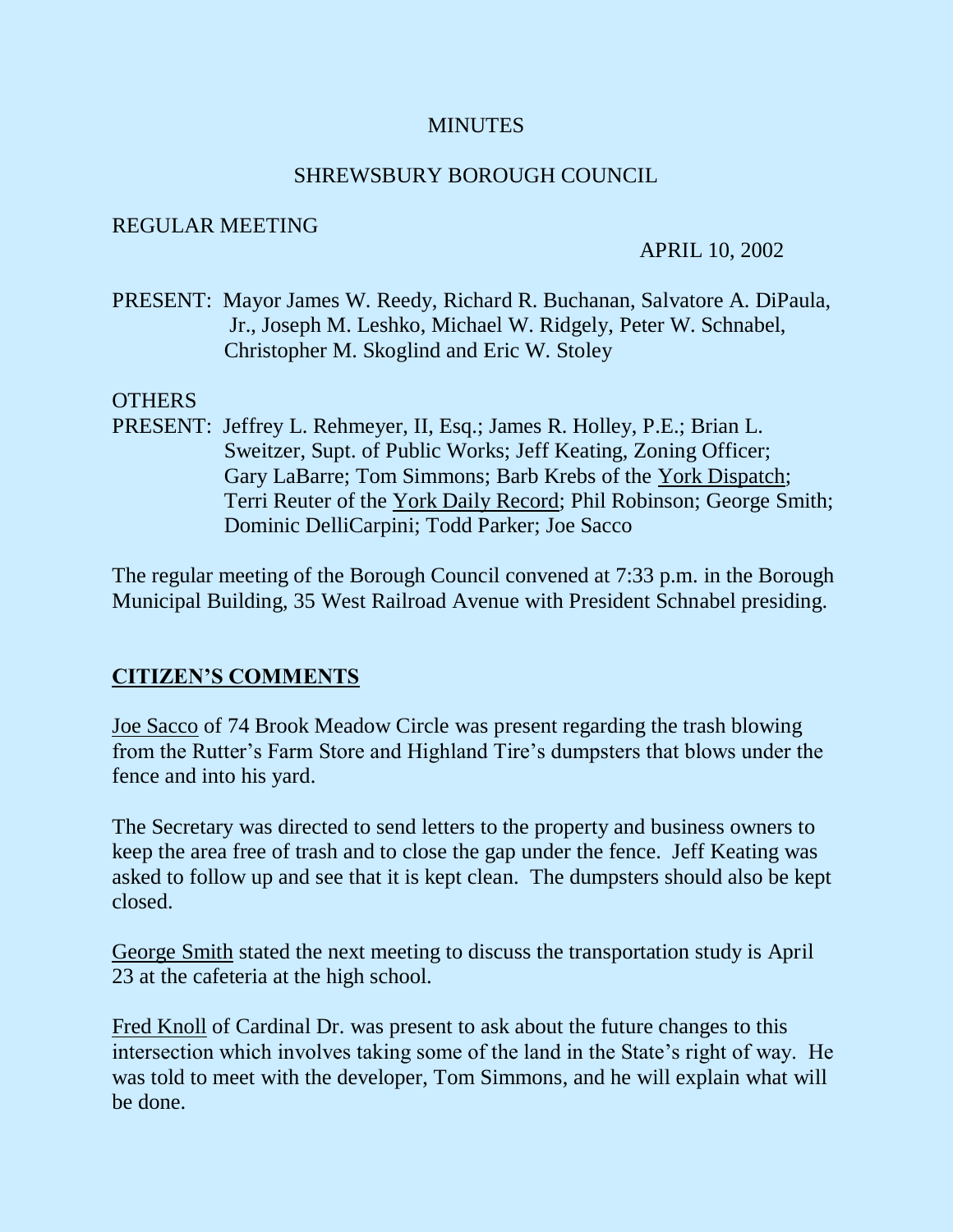## **MINUTES**

#### SHREWSBURY BOROUGH COUNCIL

#### REGULAR MEETING

#### APRIL 10, 2002

PRESENT: Mayor James W. Reedy, Richard R. Buchanan, Salvatore A. DiPaula, Jr., Joseph M. Leshko, Michael W. Ridgely, Peter W. Schnabel, Christopher M. Skoglind and Eric W. Stoley

#### **OTHERS**

PRESENT: Jeffrey L. Rehmeyer, II, Esq.; James R. Holley, P.E.; Brian L. Sweitzer, Supt. of Public Works; Jeff Keating, Zoning Officer; Gary LaBarre; Tom Simmons; Barb Krebs of the York Dispatch; Terri Reuter of the York Daily Record; Phil Robinson; George Smith; Dominic DelliCarpini; Todd Parker; Joe Sacco

The regular meeting of the Borough Council convened at 7:33 p.m. in the Borough Municipal Building, 35 West Railroad Avenue with President Schnabel presiding.

#### **CITIZEN'S COMMENTS**

Joe Sacco of 74 Brook Meadow Circle was present regarding the trash blowing from the Rutter's Farm Store and Highland Tire's dumpsters that blows under the fence and into his yard.

The Secretary was directed to send letters to the property and business owners to keep the area free of trash and to close the gap under the fence. Jeff Keating was asked to follow up and see that it is kept clean. The dumpsters should also be kept closed.

George Smith stated the next meeting to discuss the transportation study is April 23 at the cafeteria at the high school.

Fred Knoll of Cardinal Dr. was present to ask about the future changes to this intersection which involves taking some of the land in the State's right of way. He was told to meet with the developer, Tom Simmons, and he will explain what will be done.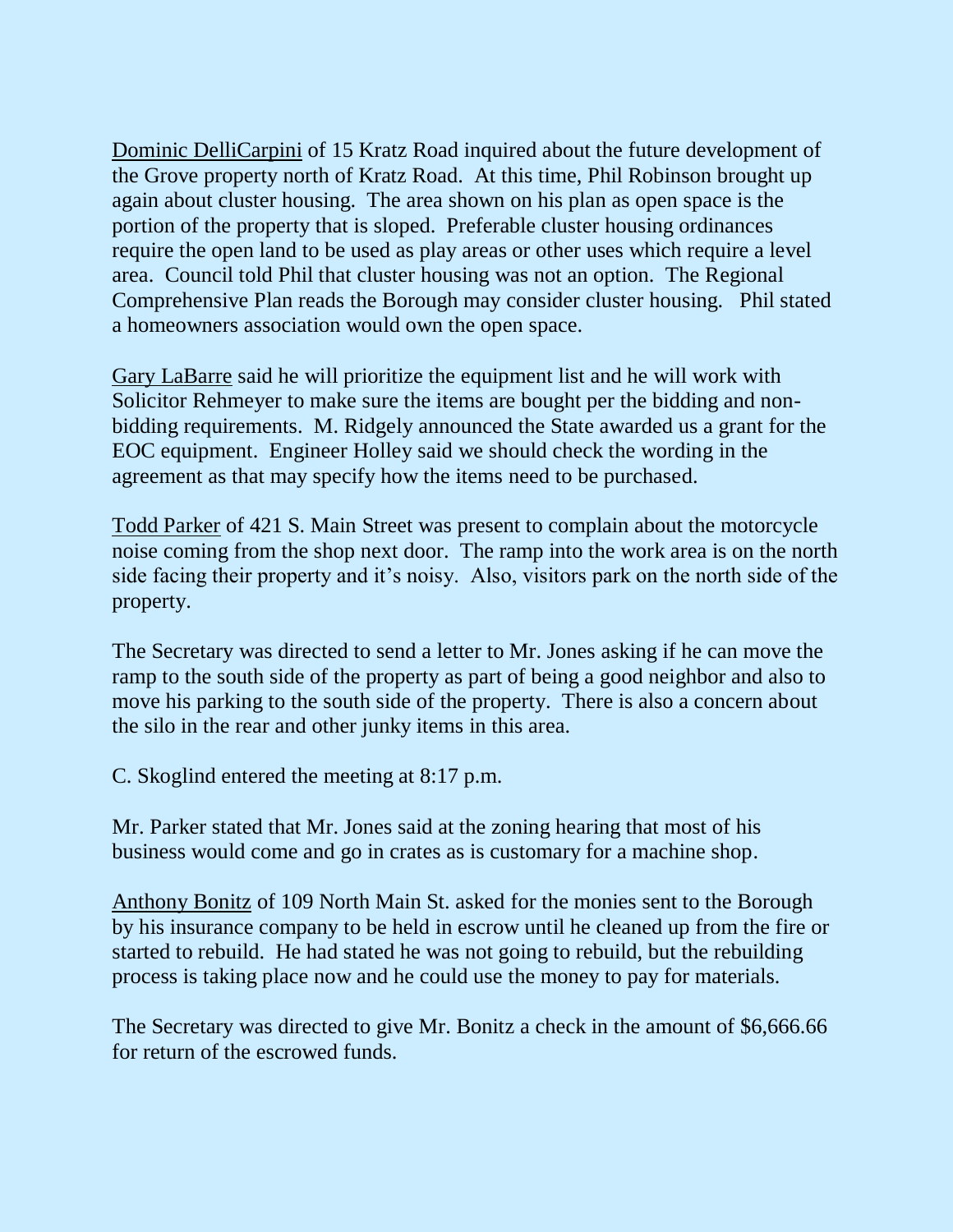Dominic DelliCarpini of 15 Kratz Road inquired about the future development of the Grove property north of Kratz Road. At this time, Phil Robinson brought up again about cluster housing. The area shown on his plan as open space is the portion of the property that is sloped. Preferable cluster housing ordinances require the open land to be used as play areas or other uses which require a level area. Council told Phil that cluster housing was not an option. The Regional Comprehensive Plan reads the Borough may consider cluster housing. Phil stated a homeowners association would own the open space.

Gary LaBarre said he will prioritize the equipment list and he will work with Solicitor Rehmeyer to make sure the items are bought per the bidding and nonbidding requirements. M. Ridgely announced the State awarded us a grant for the EOC equipment. Engineer Holley said we should check the wording in the agreement as that may specify how the items need to be purchased.

Todd Parker of 421 S. Main Street was present to complain about the motorcycle noise coming from the shop next door. The ramp into the work area is on the north side facing their property and it's noisy. Also, visitors park on the north side of the property.

The Secretary was directed to send a letter to Mr. Jones asking if he can move the ramp to the south side of the property as part of being a good neighbor and also to move his parking to the south side of the property. There is also a concern about the silo in the rear and other junky items in this area.

C. Skoglind entered the meeting at 8:17 p.m.

Mr. Parker stated that Mr. Jones said at the zoning hearing that most of his business would come and go in crates as is customary for a machine shop.

Anthony Bonitz of 109 North Main St. asked for the monies sent to the Borough by his insurance company to be held in escrow until he cleaned up from the fire or started to rebuild. He had stated he was not going to rebuild, but the rebuilding process is taking place now and he could use the money to pay for materials.

The Secretary was directed to give Mr. Bonitz a check in the amount of \$6,666.66 for return of the escrowed funds.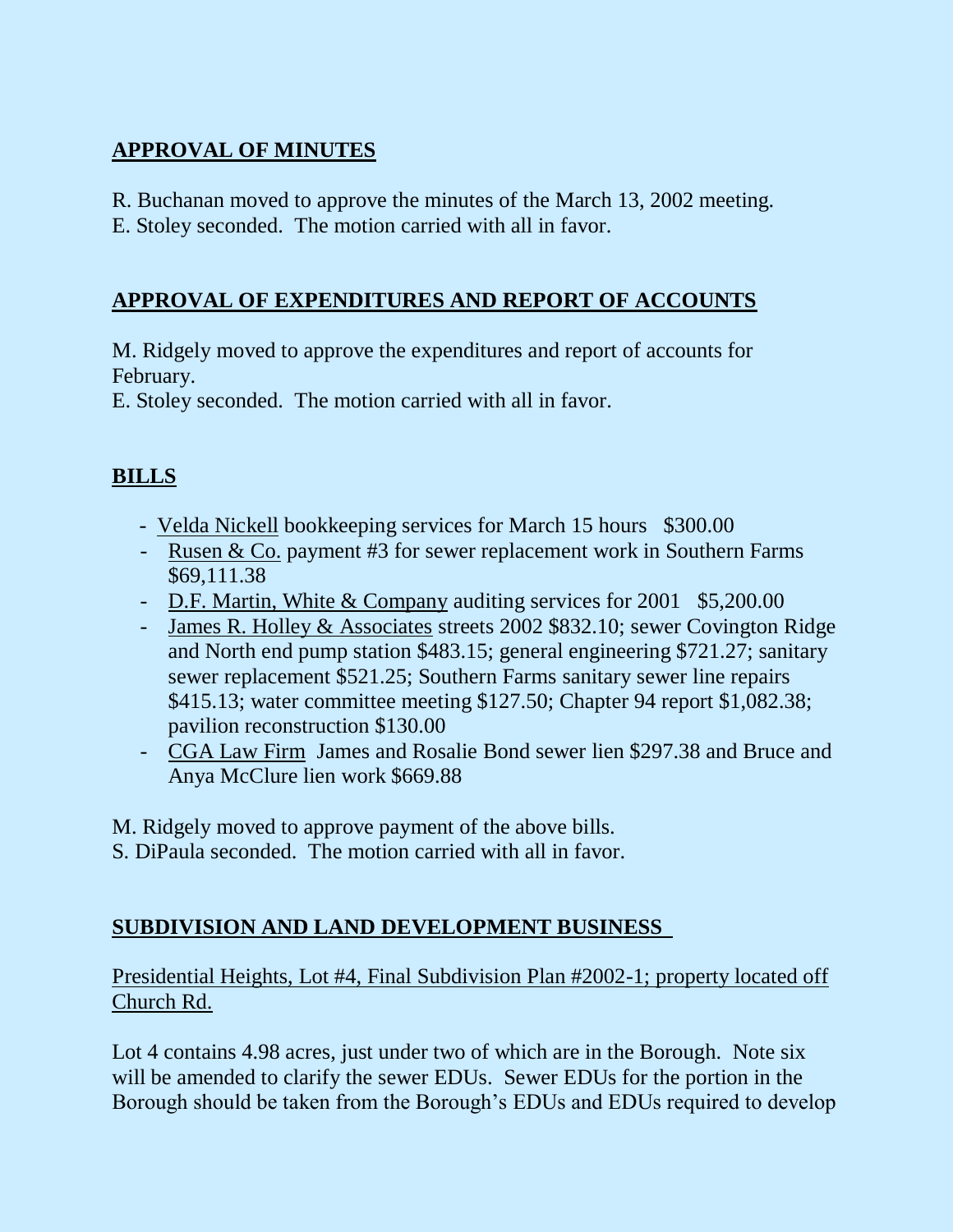# **APPROVAL OF MINUTES**

R. Buchanan moved to approve the minutes of the March 13, 2002 meeting. E. Stoley seconded. The motion carried with all in favor.

# **APPROVAL OF EXPENDITURES AND REPORT OF ACCOUNTS**

M. Ridgely moved to approve the expenditures and report of accounts for February.

E. Stoley seconded. The motion carried with all in favor.

# **BILLS**

- Velda Nickell bookkeeping services for March 15 hours \$300.00
- Rusen & Co. payment #3 for sewer replacement work in Southern Farms \$69,111.38
- D.F. Martin, White & Company auditing services for 2001 \$5,200.00
- James R. Holley & Associates streets 2002 \$832.10; sewer Covington Ridge and North end pump station \$483.15; general engineering \$721.27; sanitary sewer replacement \$521.25; Southern Farms sanitary sewer line repairs \$415.13; water committee meeting \$127.50; Chapter 94 report \$1,082.38; pavilion reconstruction \$130.00
- CGA Law Firm James and Rosalie Bond sewer lien \$297.38 and Bruce and Anya McClure lien work \$669.88

M. Ridgely moved to approve payment of the above bills.

S. DiPaula seconded. The motion carried with all in favor.

# **SUBDIVISION AND LAND DEVELOPMENT BUSINESS**

Presidential Heights, Lot #4, Final Subdivision Plan #2002-1; property located off Church Rd.

Lot 4 contains 4.98 acres, just under two of which are in the Borough. Note six will be amended to clarify the sewer EDUs. Sewer EDUs for the portion in the Borough should be taken from the Borough's EDUs and EDUs required to develop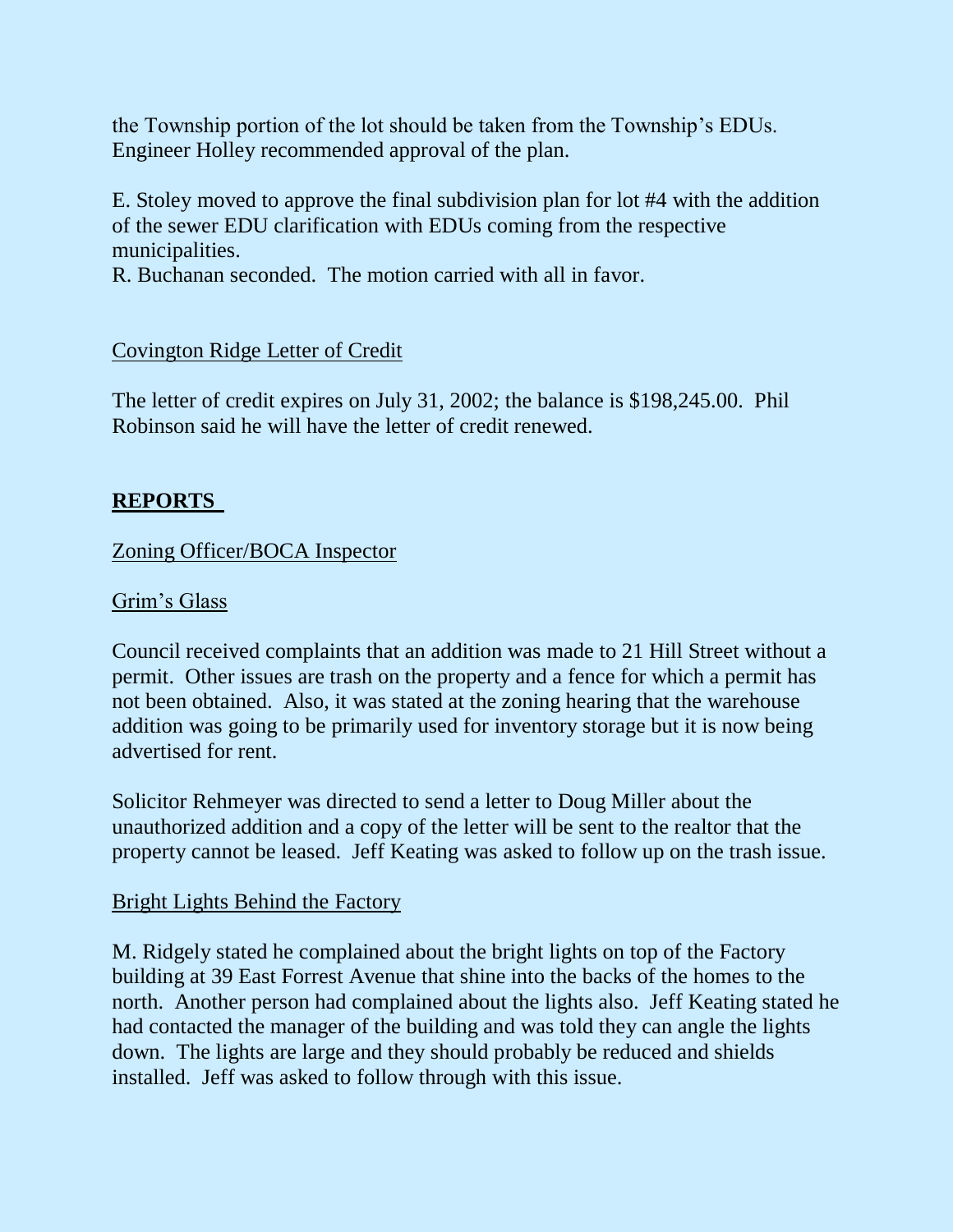the Township portion of the lot should be taken from the Township's EDUs. Engineer Holley recommended approval of the plan.

E. Stoley moved to approve the final subdivision plan for lot #4 with the addition of the sewer EDU clarification with EDUs coming from the respective municipalities.

R. Buchanan seconded. The motion carried with all in favor.

## Covington Ridge Letter of Credit

The letter of credit expires on July 31, 2002; the balance is \$198,245.00. Phil Robinson said he will have the letter of credit renewed.

## **REPORTS**

#### Zoning Officer/BOCA Inspector

#### Grim's Glass

Council received complaints that an addition was made to 21 Hill Street without a permit. Other issues are trash on the property and a fence for which a permit has not been obtained. Also, it was stated at the zoning hearing that the warehouse addition was going to be primarily used for inventory storage but it is now being advertised for rent.

Solicitor Rehmeyer was directed to send a letter to Doug Miller about the unauthorized addition and a copy of the letter will be sent to the realtor that the property cannot be leased. Jeff Keating was asked to follow up on the trash issue.

#### Bright Lights Behind the Factory

M. Ridgely stated he complained about the bright lights on top of the Factory building at 39 East Forrest Avenue that shine into the backs of the homes to the north. Another person had complained about the lights also. Jeff Keating stated he had contacted the manager of the building and was told they can angle the lights down. The lights are large and they should probably be reduced and shields installed. Jeff was asked to follow through with this issue.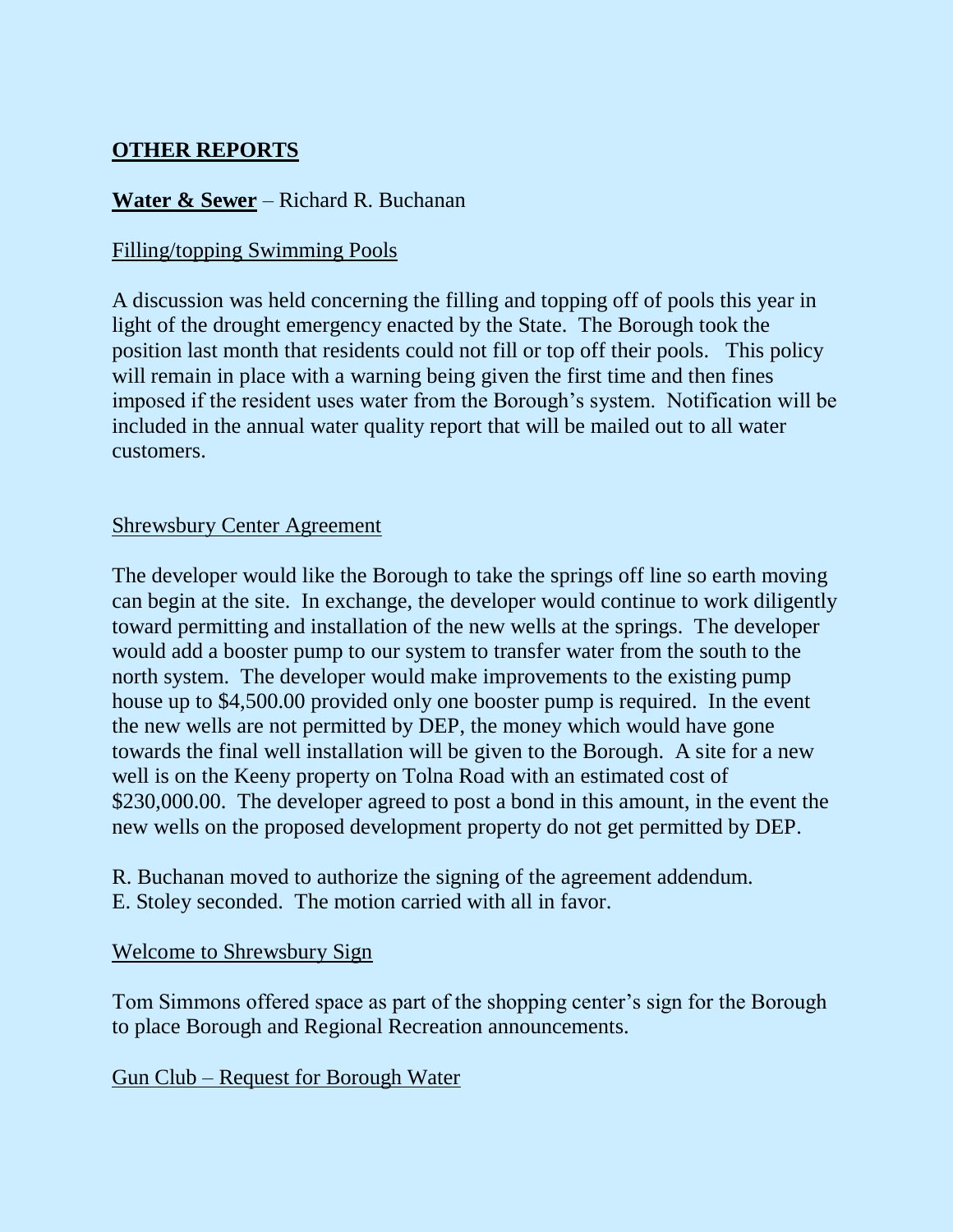# **OTHER REPORTS**

# **Water & Sewer** – Richard R. Buchanan

## Filling/topping Swimming Pools

A discussion was held concerning the filling and topping off of pools this year in light of the drought emergency enacted by the State. The Borough took the position last month that residents could not fill or top off their pools. This policy will remain in place with a warning being given the first time and then fines imposed if the resident uses water from the Borough's system. Notification will be included in the annual water quality report that will be mailed out to all water customers.

# Shrewsbury Center Agreement

The developer would like the Borough to take the springs off line so earth moving can begin at the site. In exchange, the developer would continue to work diligently toward permitting and installation of the new wells at the springs. The developer would add a booster pump to our system to transfer water from the south to the north system. The developer would make improvements to the existing pump house up to \$4,500.00 provided only one booster pump is required. In the event the new wells are not permitted by DEP, the money which would have gone towards the final well installation will be given to the Borough. A site for a new well is on the Keeny property on Tolna Road with an estimated cost of \$230,000.00. The developer agreed to post a bond in this amount, in the event the new wells on the proposed development property do not get permitted by DEP.

R. Buchanan moved to authorize the signing of the agreement addendum. E. Stoley seconded. The motion carried with all in favor.

## Welcome to Shrewsbury Sign

Tom Simmons offered space as part of the shopping center's sign for the Borough to place Borough and Regional Recreation announcements.

## Gun Club – Request for Borough Water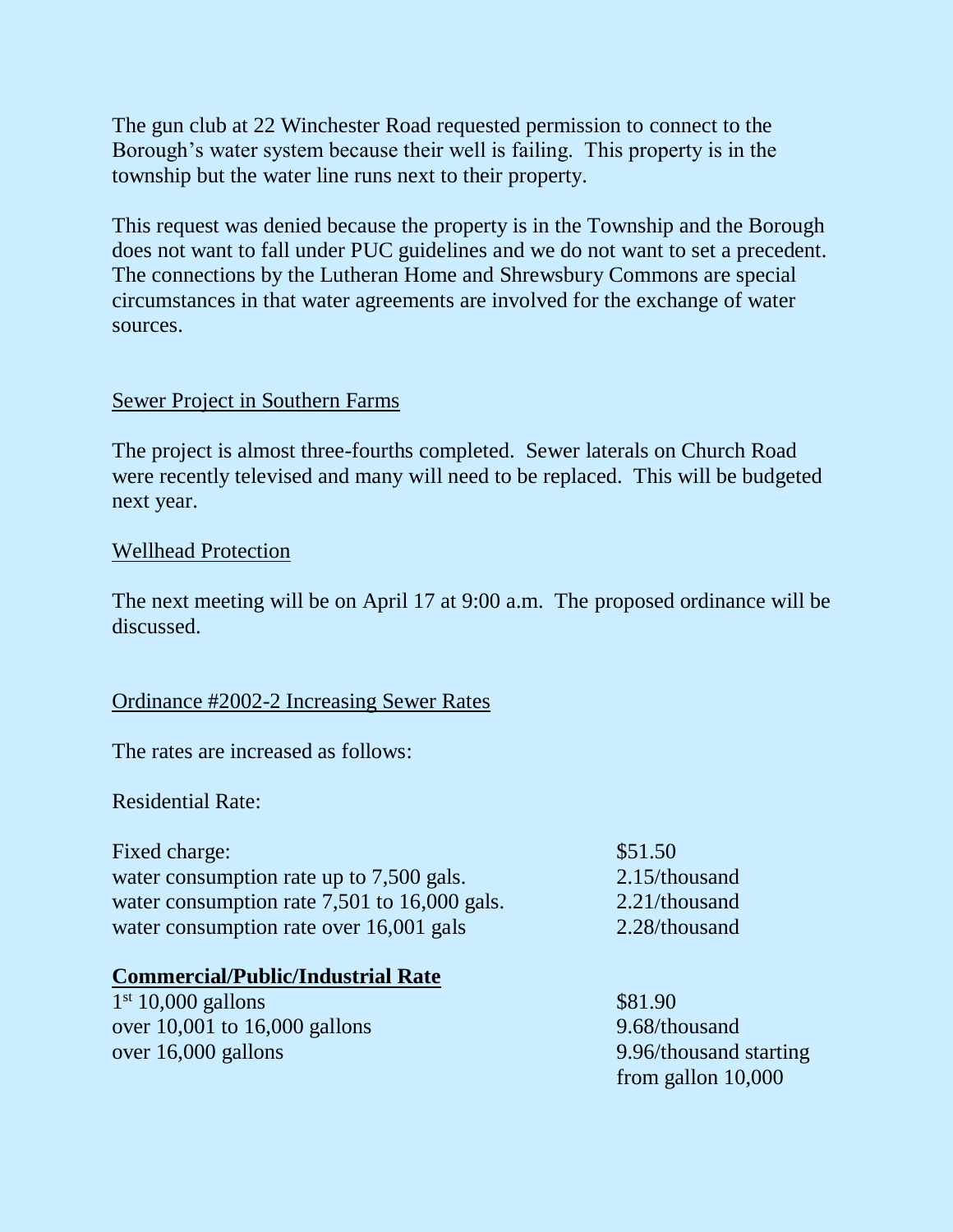The gun club at 22 Winchester Road requested permission to connect to the Borough's water system because their well is failing. This property is in the township but the water line runs next to their property.

This request was denied because the property is in the Township and the Borough does not want to fall under PUC guidelines and we do not want to set a precedent. The connections by the Lutheran Home and Shrewsbury Commons are special circumstances in that water agreements are involved for the exchange of water sources.

#### Sewer Project in Southern Farms

The project is almost three-fourths completed. Sewer laterals on Church Road were recently televised and many will need to be replaced. This will be budgeted next year.

#### Wellhead Protection

The next meeting will be on April 17 at 9:00 a.m. The proposed ordinance will be discussed.

## Ordinance #2002-2 Increasing Sewer Rates

The rates are increased as follows:

Residential Rate:

Fixed charge:  $$51.50$ water consumption rate up to 7,500 gals. 2.15/thousand water consumption rate 7,501 to 16,000 gals. 2.21/thousand water consumption rate over 16,001 gals 2.28/thousand

#### **Commercial/Public/Industrial Rate**

1<sup>st</sup> 10,000 gallons \$81.90 over 10,001 to 16,000 gallons 9.68/thousand over 16,000 gallons 9.96/thousand starting

from gallon 10,000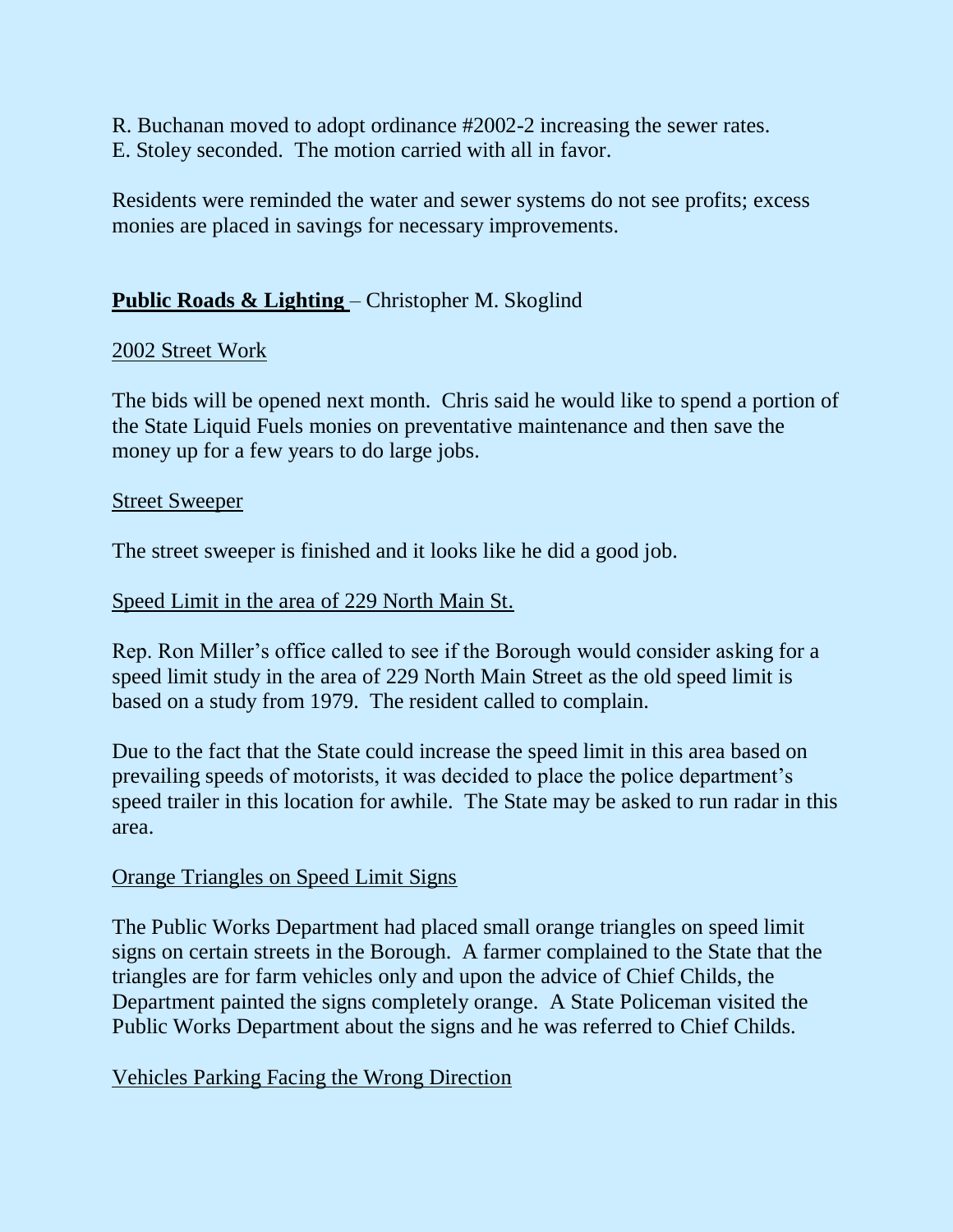R. Buchanan moved to adopt ordinance #2002-2 increasing the sewer rates. E. Stoley seconded. The motion carried with all in favor.

Residents were reminded the water and sewer systems do not see profits; excess monies are placed in savings for necessary improvements.

# **Public Roads & Lighting** – Christopher M. Skoglind

## 2002 Street Work

The bids will be opened next month. Chris said he would like to spend a portion of the State Liquid Fuels monies on preventative maintenance and then save the money up for a few years to do large jobs.

#### Street Sweeper

The street sweeper is finished and it looks like he did a good job.

## Speed Limit in the area of 229 North Main St.

Rep. Ron Miller's office called to see if the Borough would consider asking for a speed limit study in the area of 229 North Main Street as the old speed limit is based on a study from 1979. The resident called to complain.

Due to the fact that the State could increase the speed limit in this area based on prevailing speeds of motorists, it was decided to place the police department's speed trailer in this location for awhile. The State may be asked to run radar in this area.

## Orange Triangles on Speed Limit Signs

The Public Works Department had placed small orange triangles on speed limit signs on certain streets in the Borough. A farmer complained to the State that the triangles are for farm vehicles only and upon the advice of Chief Childs, the Department painted the signs completely orange. A State Policeman visited the Public Works Department about the signs and he was referred to Chief Childs.

## Vehicles Parking Facing the Wrong Direction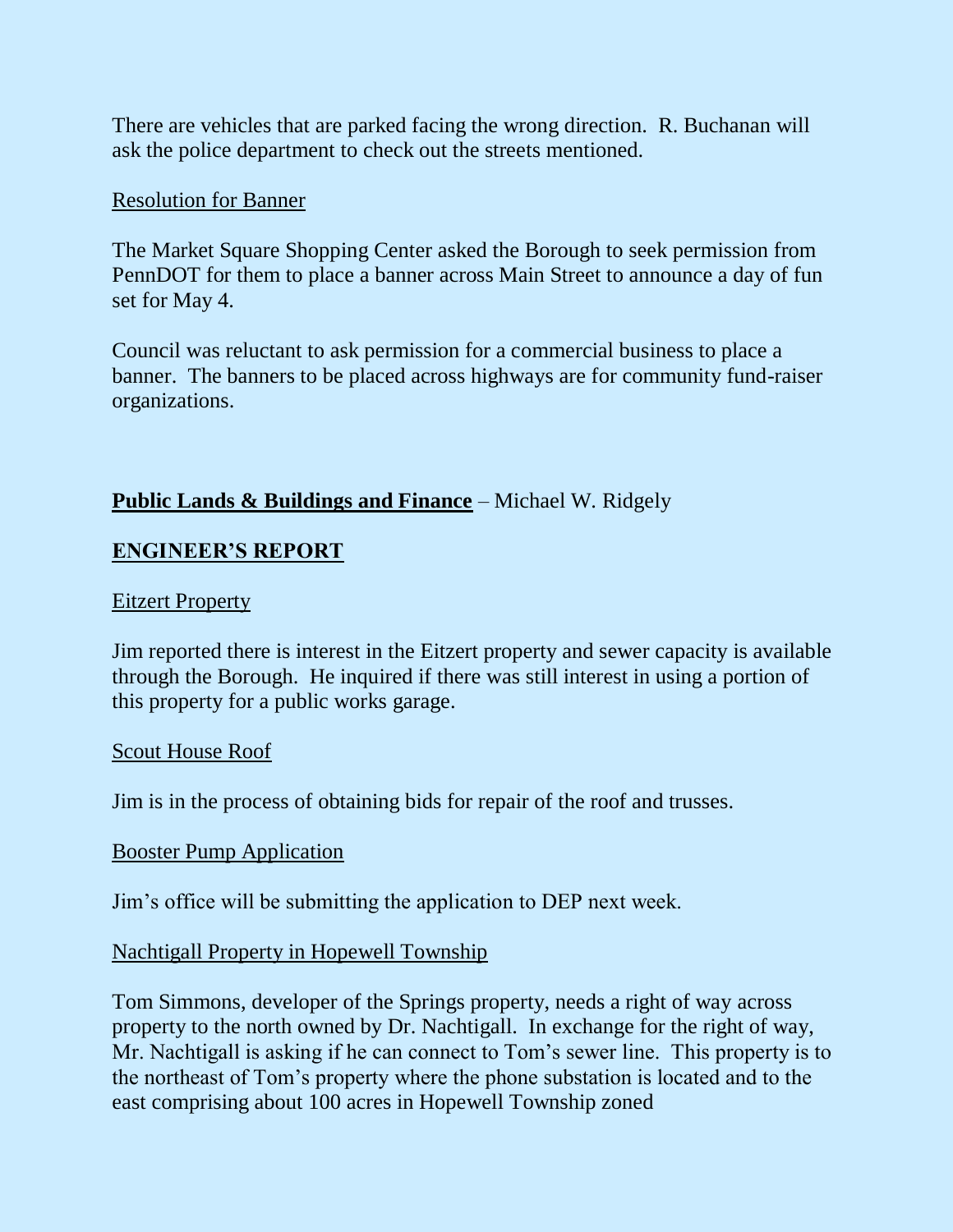There are vehicles that are parked facing the wrong direction. R. Buchanan will ask the police department to check out the streets mentioned.

#### Resolution for Banner

The Market Square Shopping Center asked the Borough to seek permission from PennDOT for them to place a banner across Main Street to announce a day of fun set for May 4.

Council was reluctant to ask permission for a commercial business to place a banner. The banners to be placed across highways are for community fund-raiser organizations.

# **Public Lands & Buildings and Finance** – Michael W. Ridgely

# **ENGINEER'S REPORT**

#### Eitzert Property

Jim reported there is interest in the Eitzert property and sewer capacity is available through the Borough. He inquired if there was still interest in using a portion of this property for a public works garage.

#### Scout House Roof

Jim is in the process of obtaining bids for repair of the roof and trusses.

## Booster Pump Application

Jim's office will be submitting the application to DEP next week.

## Nachtigall Property in Hopewell Township

Tom Simmons, developer of the Springs property, needs a right of way across property to the north owned by Dr. Nachtigall. In exchange for the right of way, Mr. Nachtigall is asking if he can connect to Tom's sewer line. This property is to the northeast of Tom's property where the phone substation is located and to the east comprising about 100 acres in Hopewell Township zoned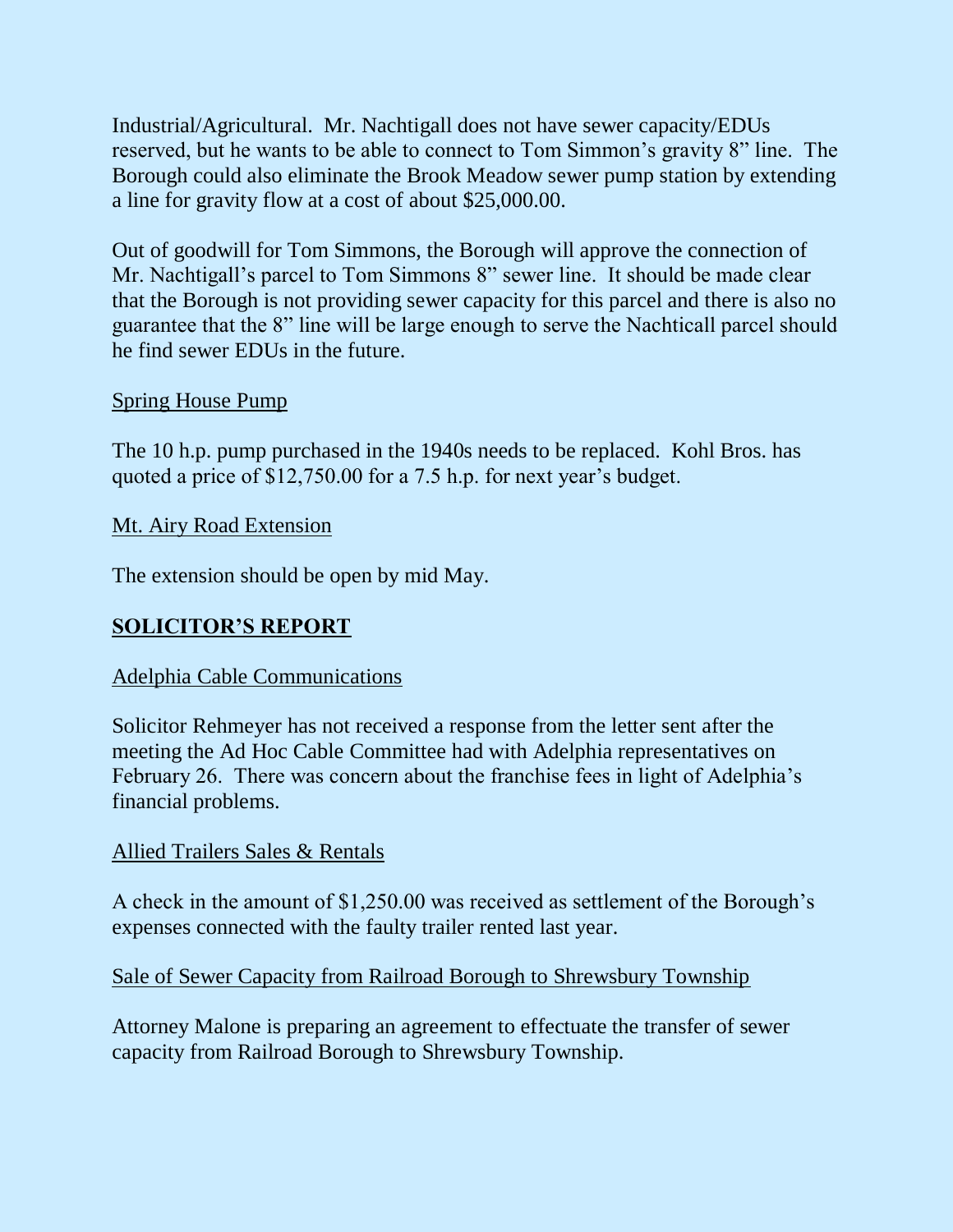Industrial/Agricultural. Mr. Nachtigall does not have sewer capacity/EDUs reserved, but he wants to be able to connect to Tom Simmon's gravity 8" line. The Borough could also eliminate the Brook Meadow sewer pump station by extending a line for gravity flow at a cost of about \$25,000.00.

Out of goodwill for Tom Simmons, the Borough will approve the connection of Mr. Nachtigall's parcel to Tom Simmons 8" sewer line. It should be made clear that the Borough is not providing sewer capacity for this parcel and there is also no guarantee that the 8" line will be large enough to serve the Nachticall parcel should he find sewer EDUs in the future.

## Spring House Pump

The 10 h.p. pump purchased in the 1940s needs to be replaced. Kohl Bros. has quoted a price of \$12,750.00 for a 7.5 h.p. for next year's budget.

Mt. Airy Road Extension

The extension should be open by mid May.

# **SOLICITOR'S REPORT**

## Adelphia Cable Communications

Solicitor Rehmeyer has not received a response from the letter sent after the meeting the Ad Hoc Cable Committee had with Adelphia representatives on February 26. There was concern about the franchise fees in light of Adelphia's financial problems.

## Allied Trailers Sales & Rentals

A check in the amount of \$1,250.00 was received as settlement of the Borough's expenses connected with the faulty trailer rented last year.

Sale of Sewer Capacity from Railroad Borough to Shrewsbury Township

Attorney Malone is preparing an agreement to effectuate the transfer of sewer capacity from Railroad Borough to Shrewsbury Township.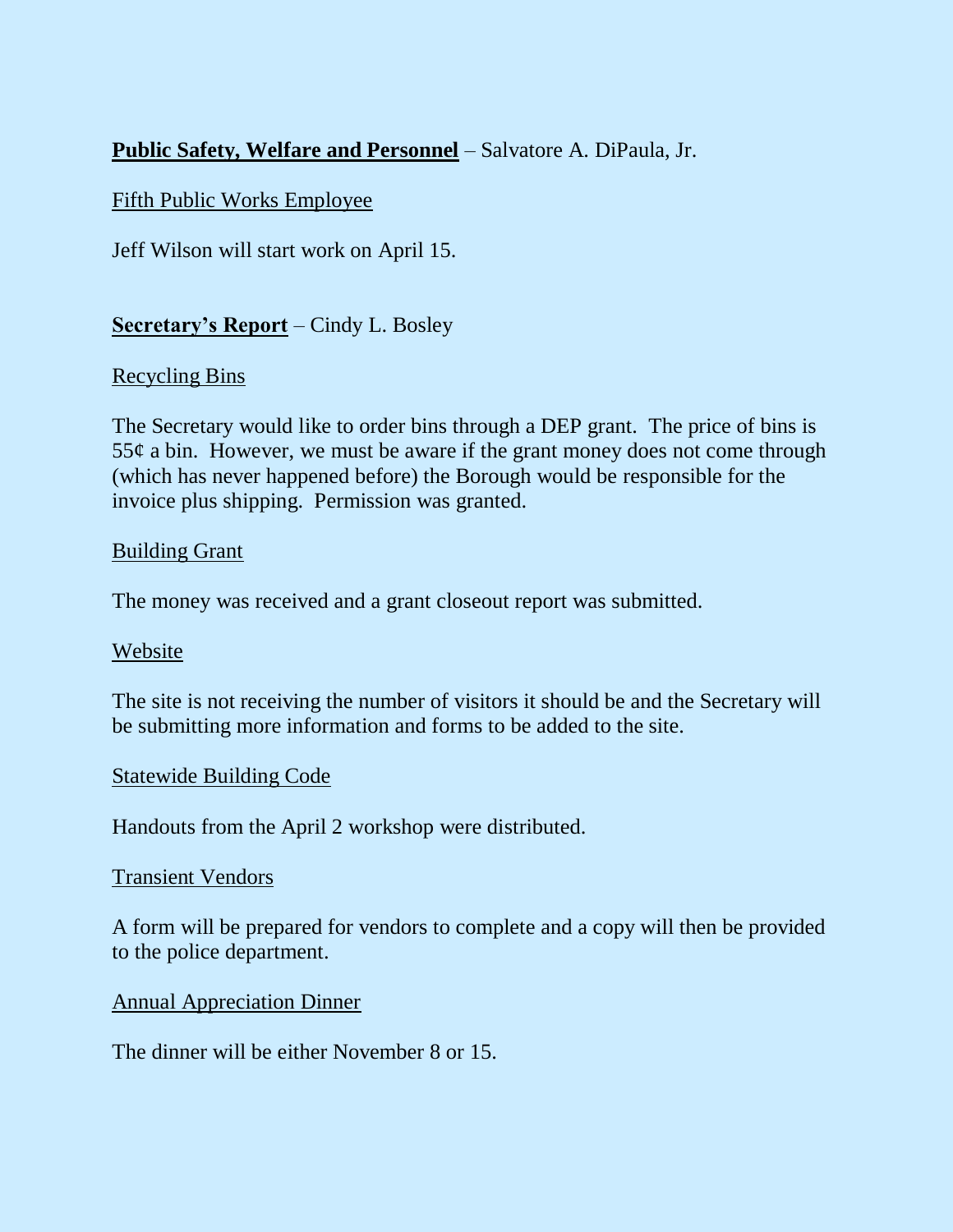# **Public Safety, Welfare and Personnel** – Salvatore A. DiPaula, Jr.

## Fifth Public Works Employee

Jeff Wilson will start work on April 15.

# **Secretary's Report** – Cindy L. Bosley

## Recycling Bins

The Secretary would like to order bins through a DEP grant. The price of bins is  $55¢$  a bin. However, we must be aware if the grant money does not come through (which has never happened before) the Borough would be responsible for the invoice plus shipping. Permission was granted.

#### Building Grant

The money was received and a grant closeout report was submitted.

## Website

The site is not receiving the number of visitors it should be and the Secretary will be submitting more information and forms to be added to the site.

## Statewide Building Code

Handouts from the April 2 workshop were distributed.

#### Transient Vendors

A form will be prepared for vendors to complete and a copy will then be provided to the police department.

## Annual Appreciation Dinner

The dinner will be either November 8 or 15.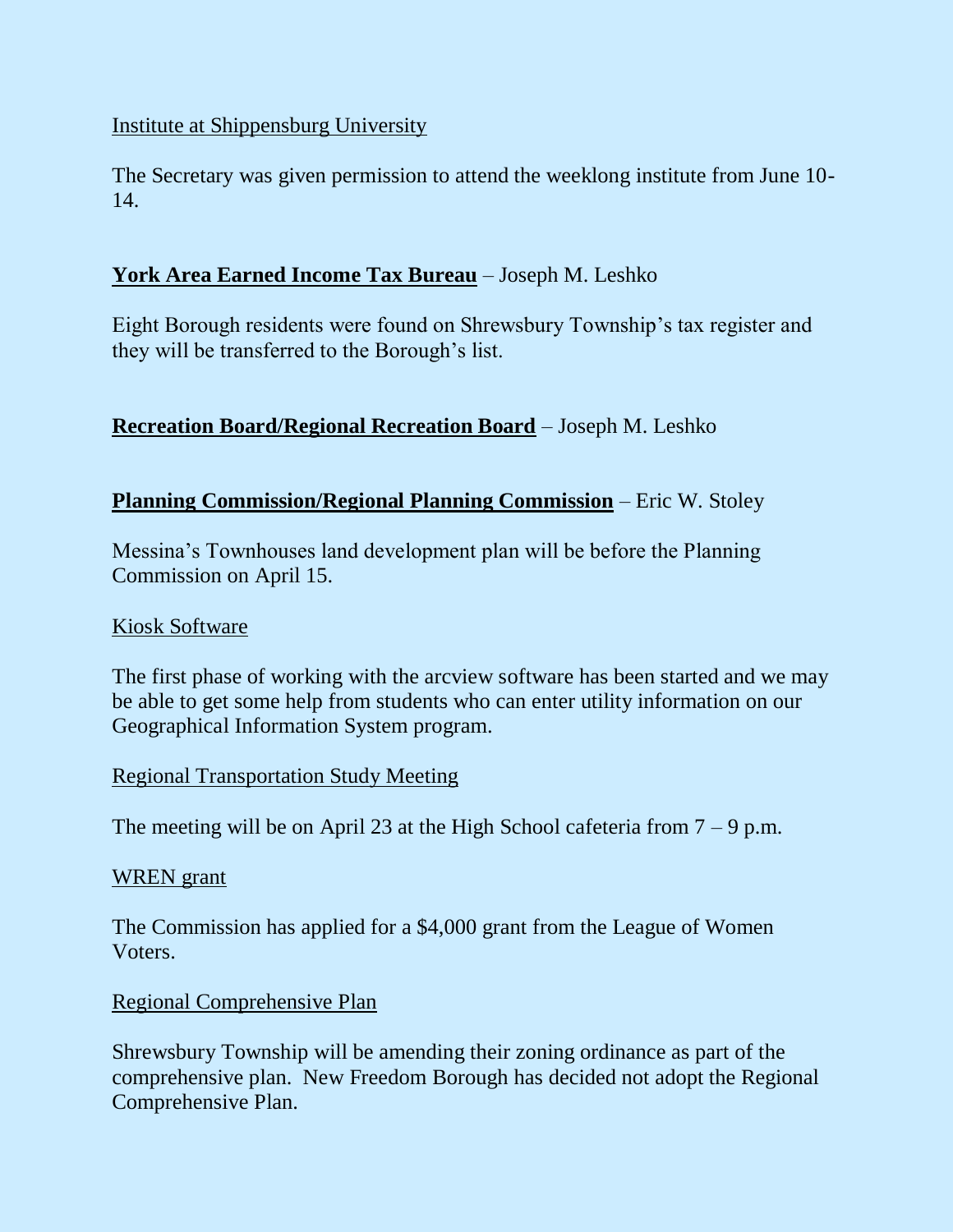## Institute at Shippensburg University

The Secretary was given permission to attend the weeklong institute from June 10- 14.

# **York Area Earned Income Tax Bureau** – Joseph M. Leshko

Eight Borough residents were found on Shrewsbury Township's tax register and they will be transferred to the Borough's list.

# **Recreation Board/Regional Recreation Board** – Joseph M. Leshko

## **Planning Commission/Regional Planning Commission** – Eric W. Stoley

Messina's Townhouses land development plan will be before the Planning Commission on April 15.

#### Kiosk Software

The first phase of working with the arcview software has been started and we may be able to get some help from students who can enter utility information on our Geographical Information System program.

## Regional Transportation Study Meeting

The meeting will be on April 23 at the High School cafeteria from  $7 - 9$  p.m.

#### WREN grant

The Commission has applied for a \$4,000 grant from the League of Women Voters.

## Regional Comprehensive Plan

Shrewsbury Township will be amending their zoning ordinance as part of the comprehensive plan. New Freedom Borough has decided not adopt the Regional Comprehensive Plan.